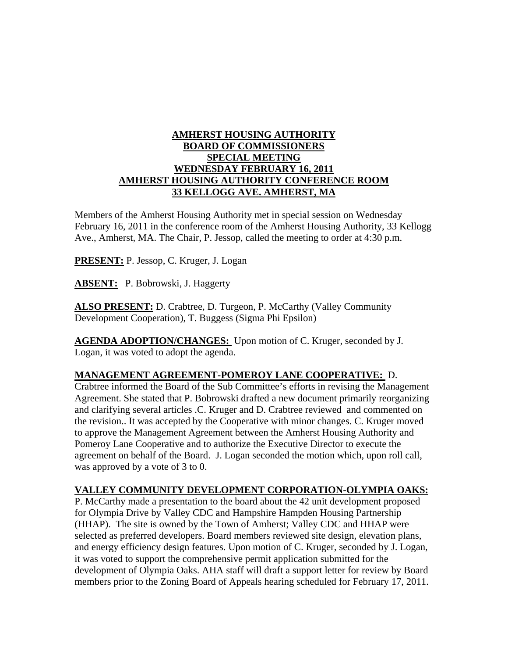## **AMHERST HOUSING AUTHORITY BOARD OF COMMISSIONERS SPECIAL MEETING WEDNESDAY FEBRUARY 16, 2011 AMHERST HOUSING AUTHORITY CONFERENCE ROOM 33 KELLOGG AVE. AMHERST, MA**

Members of the Amherst Housing Authority met in special session on Wednesday February 16, 2011 in the conference room of the Amherst Housing Authority, 33 Kellogg Ave., Amherst, MA. The Chair, P. Jessop, called the meeting to order at 4:30 p.m.

**PRESENT:** P. Jessop, C. Kruger, J. Logan

**ABSENT:** P. Bobrowski, J. Haggerty

ALSO PRESENT: D. Crabtree, D. Turgeon, P. McCarthy (Valley Community Development Cooperation), T. Buggess (Sigma Phi Epsilon)

**AGENDA ADOPTION/CHANGES:** Upon motion of C. Kruger, seconded by J. Logan, it was voted to adopt the agenda.

## **MANAGEMENT AGREEMENT-POMEROY LANE COOPERATIVE:** D.

Crabtree informed the Board of the Sub Committee's efforts in revising the Management Agreement. She stated that P. Bobrowski drafted a new document primarily reorganizing and clarifying several articles .C. Kruger and D. Crabtree reviewed and commented on the revision.. It was accepted by the Cooperative with minor changes. C. Kruger moved to approve the Management Agreement between the Amherst Housing Authority and Pomeroy Lane Cooperative and to authorize the Executive Director to execute the agreement on behalf of the Board. J. Logan seconded the motion which, upon roll call, was approved by a vote of 3 to 0.

## **VALLEY COMMUNITY DEVELOPMENT CORPORATION-OLYMPIA OAKS:**

P. McCarthy made a presentation to the board about the 42 unit development proposed for Olympia Drive by Valley CDC and Hampshire Hampden Housing Partnership (HHAP). The site is owned by the Town of Amherst; Valley CDC and HHAP were selected as preferred developers. Board members reviewed site design, elevation plans, and energy efficiency design features. Upon motion of C. Kruger, seconded by J. Logan, it was voted to support the comprehensive permit application submitted for the development of Olympia Oaks. AHA staff will draft a support letter for review by Board members prior to the Zoning Board of Appeals hearing scheduled for February 17, 2011.